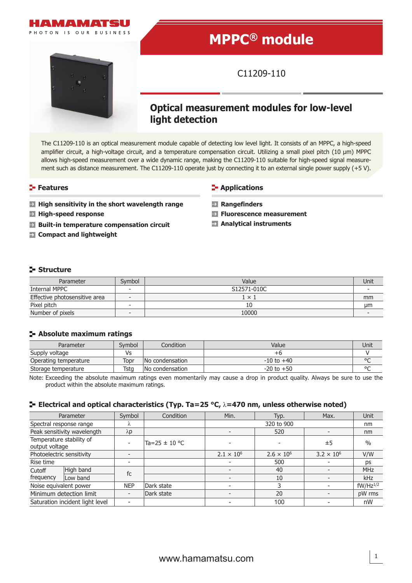

# **MPPC® module**

C11209-110

## **Optical measurement modules for low-level light detection**

The C11209-110 is an optical measurement module capable of detecting low level light. It consists of an MPPC, a high-speed amplifier circuit, a high-voltage circuit, and a temperature compensation circuit. Utilizing a small pixel pitch (10 µm) MPPC allows high-speed measurement over a wide dynamic range, making the C11209-110 suitable for high-speed signal measurement such as distance measurement. The C11209-110 operate just by connecting it to an external single power supply (+5 V).

- **High sensitivity in the short wavelength range Rangefinders**
- 
- **Built-in temperature compensation circuit Analytical instruments**
- **Compact and lightweight**

#### **Features Applications Applications**

- 
- **High-speed response Fluorescence measurement**
	-

### **Structure**

| Parameter                     | Svmbol                   | Value        |    |
|-------------------------------|--------------------------|--------------|----|
| Internal MPPC                 | $\overline{\phantom{0}}$ | S12571-010C  |    |
| Effective photosensitive area | $\overline{\phantom{0}}$ | $1 \times 1$ | mm |
| Pixel pitch                   | $\overline{\phantom{a}}$ | 10           | μm |
| Number of pixels              | -                        | 10000        |    |

### **Absolute maximum ratings**

| Parameter             | Svmbol | Condition       | Value          | Unit    |
|-----------------------|--------|-----------------|----------------|---------|
| Supply voltage        | Vs     |                 | +r             |         |
| Operating temperature | Topr   | No condensation | $-10$ to $+40$ | $\circ$ |
| Storage temperature   | Tstg   | No condensation | $-20$ to $+50$ | $\sim$  |

Note: Exceeding the absolute maximum ratings even momentarily may cause a drop in product quality. Always be sure to use the product within the absolute maximum ratings.

#### **Electrical and optical characteristics (Typ. Ta=25 °C,** λ**=470 nm, unless otherwise noted)**

|                                            | Parameter                       | Symbol      | Condition         | Min.                     | Typ.                | Max.                | Unit          |
|--------------------------------------------|---------------------------------|-------------|-------------------|--------------------------|---------------------|---------------------|---------------|
| Spectral response range                    |                                 |             |                   | 320 to 900               |                     |                     | nm            |
| Peak sensitivity wavelength                |                                 | $\lambda$ p |                   |                          | 520                 |                     | nm            |
| Temperature stability of<br>output voltage |                                 |             | Ta=25 $\pm$ 10 °C |                          |                     | ±5                  | $\frac{0}{0}$ |
| Photoelectric sensitivity                  |                                 |             |                   | $2.1 \times 10^{6}$      | $2.6 \times 10^{6}$ | $3.2 \times 10^{6}$ | V/W           |
| Rise time                                  |                                 |             |                   |                          | 500                 |                     | ps            |
| Cutoff                                     | High band                       | fc          |                   |                          | 40                  |                     | <b>MHz</b>    |
| frequency                                  | Low band                        |             |                   | $\overline{\phantom{0}}$ | 10                  |                     | <b>kHz</b>    |
| Noise equivalent power                     |                                 | <b>NEP</b>  | Dark state        | $\overline{\phantom{0}}$ |                     |                     | $fW/Hz^{1/2}$ |
|                                            | Minimum detection limit         |             | Dark state        |                          | 20                  |                     | pW rms        |
|                                            | Saturation incident light level |             |                   |                          | 100                 |                     | nW            |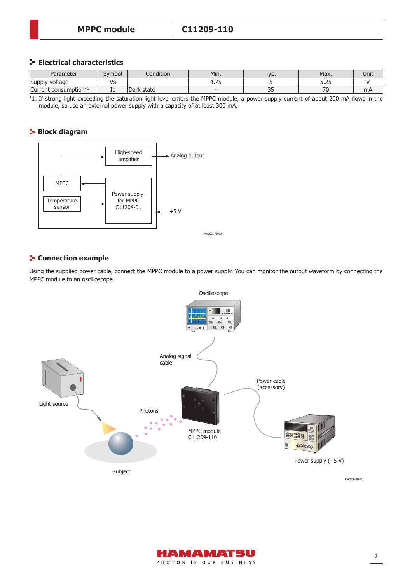#### **E** Electrical characteristics

| Parameter                         | Svmbol    | Condition      | Min.                     | 'yp.             | Max.            | Unit |
|-----------------------------------|-----------|----------------|--------------------------|------------------|-----------------|------|
| Supply<br><sup>,</sup> voltage    | ۱c<br>ر , |                | $\overline{\phantom{a}}$ |                  | $-2$<br>ر ے . ر |      |
| Current consumption <sup>*1</sup> | ᇿ         | state<br> Dark |                          | $\sim$ $-$<br>-- | 70              | mA   |

\*1: If strong light exceeding the saturation light level enters the MPPC module, a power supply current of about 200 mA flows in the module, so use an external power supply with a capacity of at least 300 mA.

#### **Block diagram**



#### **Connection example**

Using the supplied power cable, connect the MPPC module to a power supply. You can monitor the output waveform by connecting the MPPC module to an oscilloscope.



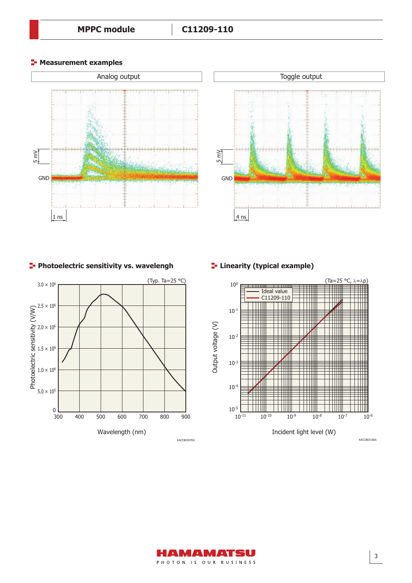**F-** Measurement examples





#### **Photoelectric sensitivity vs. wavelengh Protoelectric sensitivity vs. wavelengh Protoeleries**





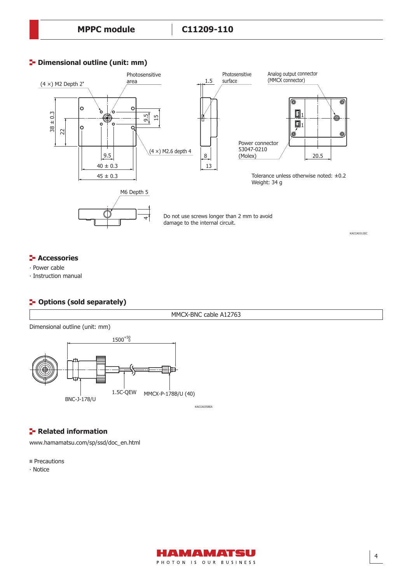### **P** Dimensional outline (unit: mm)



#### **<del>F</del>** Accessories

∙ Power cable

∙ Instruction manual

### **P** Options (sold separately)

MMCX-BNC cable A12763

Dimensional outline (unit: mm)



**Related information** 

[www.hamamatsu.com/sp/ssd/doc\\_en.html](http://www.hamamatsu.com/sp/ssd/doc_en.html)

**Precautions** 

∙ Notice